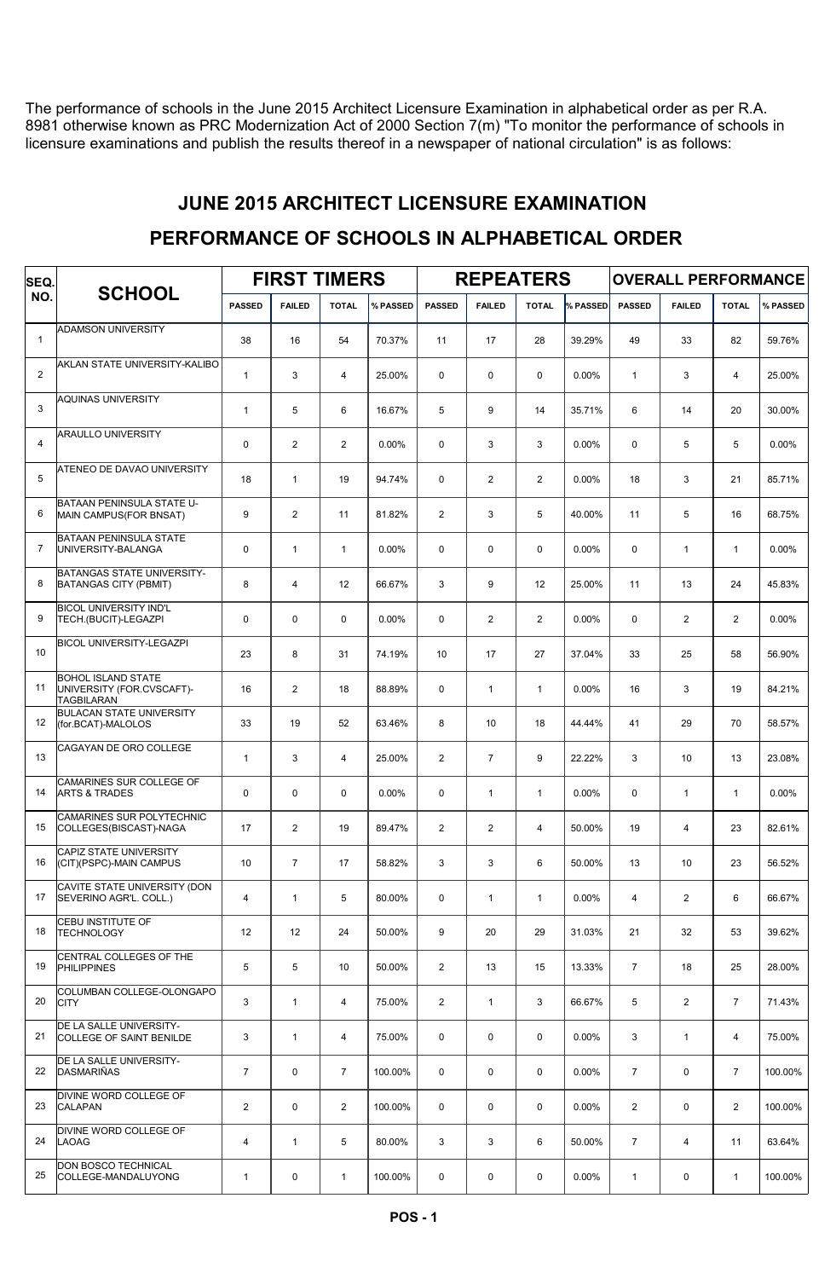The performance of schools in the June 2015 Architect Licensure Examination in alphabetical order as per R.A. 8981 otherwise known as PRC Modernization Act of 2000 Section 7(m) "To monitor the performance of schools in licensure examinations and publish the results thereof in a newspaper of national circulation" is as follows:

### JUNE 2015 ARCHITECT LICENSURE EXAMINATION

# PERFORMANCE OF SCHOOLS IN ALPHABETICAL ORDER

| SEQ.           |                                                                             |                |                | <b>FIRST TIMERS</b> |          | <b>REPEATERS</b> |                |                |          | <b>OVERALL PERFORMANCE</b> |                |                |          |
|----------------|-----------------------------------------------------------------------------|----------------|----------------|---------------------|----------|------------------|----------------|----------------|----------|----------------------------|----------------|----------------|----------|
| NO.            | <b>SCHOOL</b>                                                               | <b>PASSED</b>  | <b>FAILED</b>  | <b>TOTAL</b>        | % PASSED | <b>PASSED</b>    | <b>FAILED</b>  | <b>TOTAL</b>   | % PASSED | <b>PASSED</b>              | <b>FAILED</b>  | <b>TOTAL</b>   | % PASSED |
| $\mathbf{1}$   | <b>ADAMSON UNIVERSITY</b>                                                   | 38             | 16             | 54                  | 70.37%   | 11               | 17             | 28             | 39.29%   | 49                         | 33             | 82             | 59.76%   |
| 2              | AKLAN STATE UNIVERSITY-KALIBO                                               | $\mathbf{1}$   | 3              | $\overline{4}$      | 25.00%   | $\Omega$         | 0              | $\mathbf 0$    | 0.00%    | $\mathbf{1}$               | 3              | $\overline{4}$ | 25.00%   |
| 3              | <b>AQUINAS UNIVERSITY</b>                                                   | $\mathbf{1}$   | 5              | 6                   | 16.67%   | 5                | 9              | 14             | 35.71%   | 6                          | 14             | 20             | 30.00%   |
| $\overline{4}$ | <b>ARAULLO UNIVERSITY</b>                                                   | 0              | 2              | $\overline{2}$      | 0.00%    | $\mathbf 0$      | 3              | 3              | 0.00%    | 0                          | 5              | 5              | 0.00%    |
| 5              | ATENEO DE DAVAO UNIVERSITY                                                  | 18             | $\mathbf{1}$   | 19                  | 94.74%   | $\mathbf 0$      | 2              | $\overline{2}$ | $0.00\%$ | 18                         | 3              | 21             | 85.71%   |
| 6              | BATAAN PENINSULA STATE U-<br>MAIN CAMPUS(FOR BNSAT)                         | 9              | 2              | 11                  | 81.82%   | 2                | 3              | 5              | 40.00%   | 11                         | 5              | 16             | 68.75%   |
| $\overline{7}$ | <b>BATAAN PENINSULA STATE</b><br>UNIVERSITY-BALANGA                         | 0              | $\mathbf{1}$   | $\mathbf{1}$        | 0.00%    | $\mathbf 0$      | 0              | $\mathbf 0$    | 0.00%    | 0                          | $\mathbf{1}$   | $\mathbf{1}$   | 0.00%    |
| 8              | <b>BATANGAS STATE UNIVERSITY-</b><br><b>BATANGAS CITY (PBMIT)</b>           | 8              | $\overline{4}$ | 12                  | 66.67%   | 3                | 9              | 12             | 25.00%   | 11                         | 13             | 24             | 45.83%   |
| 9              | <b>BICOL UNIVERSITY IND'L</b><br>TECH.(BUCIT)-LEGAZPI                       | 0              | $\mathbf 0$    | $\mathbf 0$         | 0.00%    | $\mathbf 0$      | $\mathbf{2}$   | $\overline{2}$ | 0.00%    | 0                          | 2              | $\overline{2}$ | 0.00%    |
| 10             | <b>BICOL UNIVERSITY-LEGAZPI</b>                                             | 23             | 8              | 31                  | 74.19%   | 10               | 17             | 27             | 37.04%   | 33                         | 25             | 58             | 56.90%   |
| 11             | <b>BOHOL ISLAND STATE</b><br>UNIVERSITY (FOR.CVSCAFT)-<br><b>TAGBILARAN</b> | 16             | 2              | 18                  | 88.89%   | $\mathbf 0$      | $\mathbf{1}$   | $\mathbf{1}$   | 0.00%    | 16                         | 3              | 19             | 84.21%   |
| 12             | <b>BULACAN STATE UNIVERSITY</b><br>(for.BCAT)-MALOLOS                       | 33             | 19             | 52                  | 63.46%   | 8                | 10             | 18             | 44.44%   | 41                         | 29             | 70             | 58.57%   |
| 13             | CAGAYAN DE ORO COLLEGE                                                      | $\mathbf{1}$   | 3              | $\overline{4}$      | 25.00%   | 2                | $\overline{7}$ | 9              | 22.22%   | 3                          | 10             | 13             | 23.08%   |
| 14             | CAMARINES SUR COLLEGE OF<br><b>ARTS &amp; TRADES</b>                        | 0              | $\mathbf 0$    | 0                   | $0.00\%$ | $\mathbf 0$      | $\mathbf{1}$   | $\mathbf{1}$   | 0.00%    | 0                          | $\mathbf{1}$   | $\mathbf{1}$   | 0.00%    |
| 15             | <b>CAMARINES SUR POLYTECHNIC</b><br>COLLEGES(BISCAST)-NAGA                  | 17             | 2              | 19                  | 89.47%   | $\overline{2}$   | $\mathbf{2}$   | $\overline{4}$ | 50.00%   | 19                         | $\overline{4}$ | 23             | 82.61%   |
| 16             | <b>CAPIZ STATE UNIVERSITY</b><br>(CIT)(PSPC)-MAIN CAMPUS                    | 10             | $\overline{7}$ | 17                  | 58.82%   | 3                | 3              | 6              | 50.00%   | 13                         | 10             | 23             | 56.52%   |
| 17             | CAVITE STATE UNIVERSITY (DON<br>SEVERINO AGR'L, COLL.)                      | 4              | $\mathbf{1}$   | 5                   | 80.00%   | $\mathbf 0$      | $\mathbf{1}$   | $\mathbf{1}$   | 0.00%    | 4                          | $\overline{2}$ | 6              | 66.67%   |
| 18             | CEBU INSTITUTE OF<br><b>TECHNOLOGY</b>                                      | 12             | 12             | 24                  | 50.00%   | 9                | 20             | 29             | 31.03%   | 21                         | 32             | 53             | 39.62%   |
| 19             | CENTRAL COLLEGES OF THE<br>PHILIPPINES                                      | 5              | 5              | 10                  | 50.00%   | 2                | 13             | 15             | 13.33%   | $\overline{7}$             | 18             | 25             | 28.00%   |
| 20             | COLUMBAN COLLEGE-OLONGAPO<br><b>CITY</b>                                    | 3              | $\mathbf{1}$   | $\overline{4}$      | 75.00%   | 2                | $\mathbf{1}$   | 3              | 66.67%   | 5                          | $\overline{2}$ | $\overline{7}$ | 71.43%   |
| 21             | DE LA SALLE UNIVERSITY-<br>COLLEGE OF SAINT BENILDE                         | 3              | $\mathbf{1}$   | $\overline{4}$      | 75.00%   | $\mathbf 0$      | 0              | $\mathbf 0$    | 0.00%    | 3                          | $\mathbf{1}$   | 4              | 75.00%   |
| 22             | DE LA SALLE UNIVERSITY-<br>DASMARIÑAS                                       | $\overline{7}$ | $\mathbf 0$    | $\overline{7}$      | 100.00%  | $\mathbf 0$      | 0              | $\mathbf 0$    | $0.00\%$ | $\overline{7}$             | $\mathbf 0$    | $\overline{7}$ | 100.00%  |
| 23             | DIVINE WORD COLLEGE OF<br><b>CALAPAN</b>                                    | $\overline{2}$ | $\mathbf 0$    | $\overline{2}$      | 100.00%  | $\mathbf 0$      | 0              | $\mathbf 0$    | 0.00%    | $\overline{2}$             | $\mathbf 0$    | $\overline{2}$ | 100.00%  |
| 24             | DIVINE WORD COLLEGE OF<br><b>LAOAG</b>                                      | 4              | $\mathbf{1}$   | 5                   | 80.00%   | 3                | 3              | 6              | 50.00%   | $\overline{7}$             | $\overline{4}$ | 11             | 63.64%   |
| 25             | DON BOSCO TECHNICAL<br>COLLEGE-MANDALUYONG                                  | $\mathbf{1}$   | 0              | $\mathbf{1}$        | 100.00%  | 0                | 0              | 0              | $0.00\%$ | $\mathbf{1}$               | 0              | $\mathbf{1}$   | 100.00%  |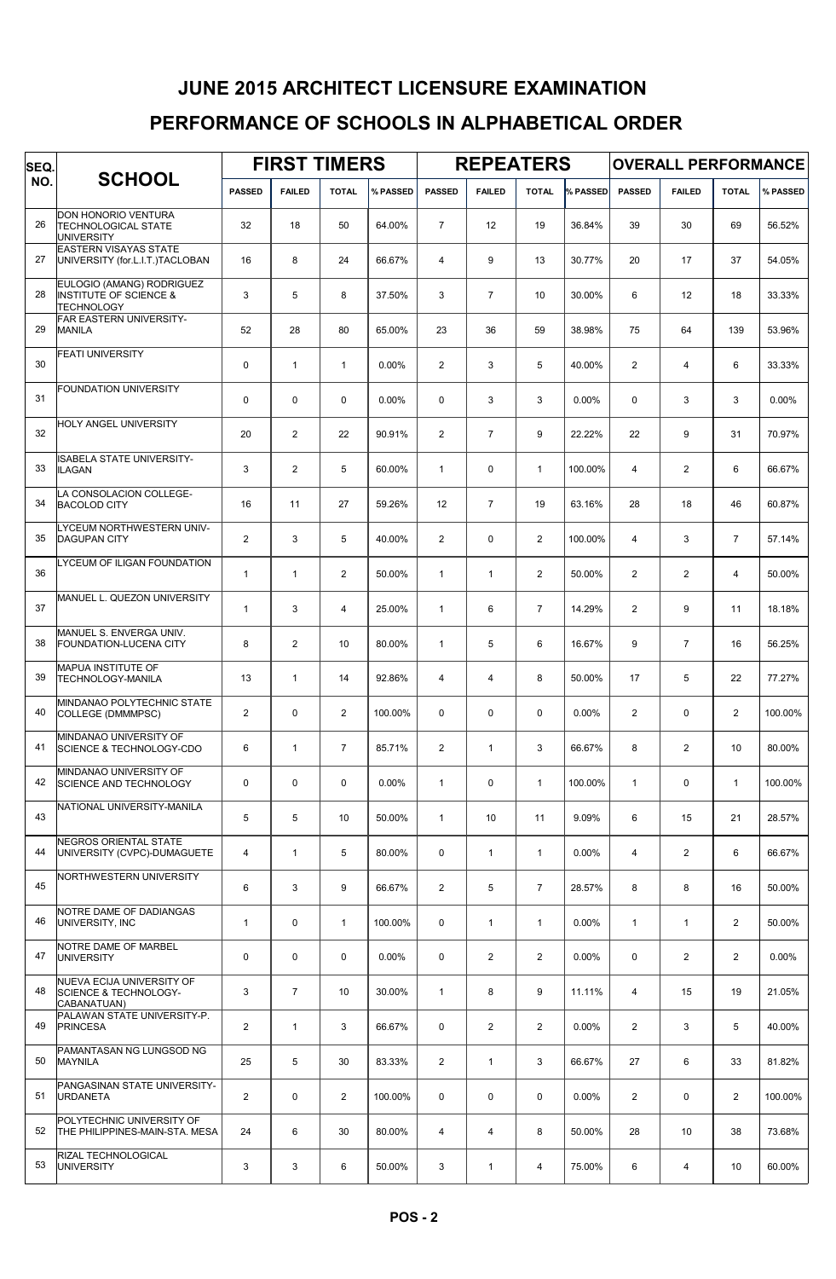## PERFORMANCE OF SCHOOLS IN ALPHABETICAL ORDER JUNE 2015 ARCHITECT LICENSURE EXAMINATION

| SEQ. |                                                                                     |                | <b>FIRST TIMERS</b> |                |          |                | <b>REPEATERS</b> |                |          | <b>OVERALL PERFORMANCE</b> |                 |                |          |  |
|------|-------------------------------------------------------------------------------------|----------------|---------------------|----------------|----------|----------------|------------------|----------------|----------|----------------------------|-----------------|----------------|----------|--|
| NO.  | <b>SCHOOL</b>                                                                       | <b>PASSED</b>  | <b>FAILED</b>       | <b>TOTAL</b>   | % PASSED | <b>PASSED</b>  | <b>FAILED</b>    | <b>TOTAL</b>   | % PASSED | <b>PASSED</b>              | <b>FAILED</b>   | <b>TOTAL</b>   | % PASSED |  |
| 26   | DON HONORIO VENTURA<br><b>TECHNOLOGICAL STATE</b><br><b>UNIVERSITY</b>              | 32             | 18                  | 50             | 64.00%   | $\overline{7}$ | 12               | 19             | 36.84%   | 39                         | 30              | 69             | 56.52%   |  |
| 27   | <b>EASTERN VISAYAS STATE</b><br>UNIVERSITY (for.L.I.T.)TACLOBAN                     | 16             | 8                   | 24             | 66.67%   | $\overline{4}$ | 9                | 13             | 30.77%   | 20                         | 17              | 37             | 54.05%   |  |
| 28   | EULOGIO (AMANG) RODRIGUEZ<br><b>INSTITUTE OF SCIENCE &amp;</b><br><b>TECHNOLOGY</b> | 3              | 5                   | 8              | 37.50%   | 3              | $\overline{7}$   | 10             | 30.00%   | 6                          | 12 <sup>°</sup> | 18             | 33.33%   |  |
| 29   | FAR EASTERN UNIVERSITY-<br><b>MANILA</b>                                            | 52             | 28                  | 80             | 65.00%   | 23             | 36               | 59             | 38.98%   | 75                         | 64              | 139            | 53.96%   |  |
| 30   | <b>FEATI UNIVERSITY</b>                                                             | 0              | $\mathbf{1}$        | $\mathbf{1}$   | 0.00%    | 2              | 3                | 5              | 40.00%   | $\overline{2}$             | 4               | 6              | 33.33%   |  |
| 31   | <b>FOUNDATION UNIVERSITY</b>                                                        | $\mathbf 0$    | $\mathbf 0$         | 0              | 0.00%    | $\mathbf 0$    | 3                | 3              | 0.00%    | 0                          | 3               | 3              | 0.00%    |  |
| 32   | HOLY ANGEL UNIVERSITY                                                               | 20             | $\overline{2}$      | 22             | 90.91%   | 2              | $\overline{7}$   | 9              | 22.22%   | 22                         | 9               | 31             | 70.97%   |  |
| 33   | ISABELA STATE UNIVERSITY-<br><b>ILAGAN</b>                                          | 3              | $\overline{2}$      | 5              | 60.00%   | $\mathbf{1}$   | 0                | $\mathbf{1}$   | 100.00%  | $\overline{4}$             | $\overline{2}$  | 6              | 66.67%   |  |
| 34   | LA CONSOLACION COLLEGE-<br><b>BACOLOD CITY</b>                                      | 16             | 11                  | 27             | 59.26%   | 12             | $\overline{7}$   | 19             | 63.16%   | 28                         | 18              | 46             | 60.87%   |  |
| 35   | LYCEUM NORTHWESTERN UNIV-<br><b>DAGUPAN CITY</b>                                    | $\overline{2}$ | 3                   | 5              | 40.00%   | $\overline{2}$ | 0                | $\overline{2}$ | 100.00%  | 4                          | 3               | $\overline{7}$ | 57.14%   |  |
| 36   | LYCEUM OF ILIGAN FOUNDATION                                                         | $\mathbf{1}$   | $\mathbf{1}$        | 2              | 50.00%   | $\mathbf{1}$   | $\mathbf{1}$     | $\overline{2}$ | 50.00%   | $\overline{2}$             | 2               | 4              | 50.00%   |  |
| 37   | MANUEL L. QUEZON UNIVERSITY                                                         | $\mathbf{1}$   | 3                   | 4              | 25.00%   | $\mathbf{1}$   | 6                | $\overline{7}$ | 14.29%   | $\overline{2}$             | 9               | 11             | 18.18%   |  |
| 38   | MANUEL S. ENVERGA UNIV.<br><b>FOUNDATION-LUCENA CITY</b>                            | 8              | 2                   | 10             | 80.00%   | $\mathbf{1}$   | 5                | 6              | 16.67%   | 9                          | $\overline{7}$  | 16             | 56.25%   |  |
| 39   | MAPUA INSTITUTE OF<br><b>TECHNOLOGY-MANILA</b>                                      | 13             | $\mathbf{1}$        | 14             | 92.86%   | $\overline{4}$ | 4                | 8              | 50.00%   | 17                         | 5               | 22             | 77.27%   |  |
| 40   | MINDANAO POLYTECHNIC STATE<br>COLLEGE (DMMMPSC)                                     | $\overline{2}$ | $\Omega$            | $\overline{2}$ | 100.00%  | $\Omega$       | 0                | $\mathbf 0$    | 0.00%    | 2                          | $\mathbf 0$     | $\overline{2}$ | 100.00%  |  |
| 41   | MINDANAO UNIVERSITY OF<br><b>SCIENCE &amp; TECHNOLOGY-CDO</b>                       | 6              | $\mathbf{1}$        | $\overline{7}$ | 85.71%   | $\overline{2}$ | $\mathbf{1}$     | 3              | 66.67%   | 8                          | 2               | 10             | 80.00%   |  |
| 42   | MINDANAO UNIVERSITY OF<br><b>SCIENCE AND TECHNOLOGY</b>                             | 0              | $\mathbf 0$         | 0              | 0.00%    | $\mathbf{1}$   | 0                | $\mathbf{1}$   | 100.00%  | $\mathbf{1}$               | 0               | $\mathbf{1}$   | 100.00%  |  |
| 43   | NATIONAL UNIVERSITY-MANILA                                                          | 5              | 5                   | 10             | 50.00%   | $\mathbf{1}$   | 10               | 11             | 9.09%    | 6                          | 15              | 21             | 28.57%   |  |
| 44   | NEGROS ORIENTAL STATE<br>UNIVERSITY (CVPC)-DUMAGUETE                                | 4              | $\mathbf{1}$        | 5              | 80.00%   | $\mathbf 0$    | $\mathbf{1}$     | $\mathbf{1}$   | 0.00%    | 4                          | 2               | 6              | 66.67%   |  |
| 45   | NORTHWESTERN UNIVERSITY                                                             | 6              | 3                   | 9              | 66.67%   | 2              | 5                | $\overline{7}$ | 28.57%   | 8                          | 8               | 16             | 50.00%   |  |
| 46   | NOTRE DAME OF DADIANGAS<br>UNIVERSITY, INC                                          | $\mathbf{1}$   | $\mathbf 0$         | $\mathbf{1}$   | 100.00%  | $\mathbf 0$    | $\mathbf{1}$     | $\mathbf{1}$   | 0.00%    | $\mathbf{1}$               | $\mathbf{1}$    | $\overline{2}$ | 50.00%   |  |
| 47   | NOTRE DAME OF MARBEL<br><b>UNIVERSITY</b>                                           | 0              | $\mathbf 0$         | 0              | 0.00%    | 0              | $\overline{2}$   | $\overline{2}$ | 0.00%    | 0                          | 2               | $\overline{2}$ | $0.00\%$ |  |
| 48   | NUEVA ECIJA UNIVERSITY OF<br>SCIENCE & TECHNOLOGY-<br>CABANATUAN)                   | 3              | $\overline{7}$      | 10             | 30.00%   | $\mathbf{1}$   | 8                | 9              | 11.11%   | 4                          | 15              | 19             | 21.05%   |  |
| 49   | PALAWAN STATE UNIVERSITY-P.<br><b>PRINCESA</b>                                      | $\overline{2}$ | $\mathbf{1}$        | 3              | 66.67%   | $\mathbf 0$    | $\overline{2}$   | $\overline{2}$ | 0.00%    | $\overline{2}$             | 3               | 5              | 40.00%   |  |
| 50   | PAMANTASAN NG LUNGSOD NG<br><b>MAYNILA</b>                                          | 25             | 5                   | 30             | 83.33%   | $\overline{2}$ | $\mathbf{1}$     | 3              | 66.67%   | 27                         | 6               | 33             | 81.82%   |  |
| 51   | PANGASINAN STATE UNIVERSITY-<br><b>URDANETA</b>                                     | $\overline{2}$ | 0                   | $\overline{2}$ | 100.00%  | 0              | 0                | $\mathbf 0$    | 0.00%    | $\overline{2}$             | 0               | $\overline{2}$ | 100.00%  |  |
| 52   | POLYTECHNIC UNIVERSITY OF<br>THE PHILIPPINES-MAIN-STA. MESA                         | 24             | 6                   | 30             | 80.00%   | $\overline{4}$ | 4                | 8              | 50.00%   | 28                         | 10 <sup>°</sup> | 38             | 73.68%   |  |
| 53   | RIZAL TECHNOLOGICAL<br><b>UNIVERSITY</b>                                            | 3              | 3                   | 6              | 50.00%   | 3              | $\mathbf{1}$     | 4              | 75.00%   | 6                          | $\overline{4}$  | 10             | 60.00%   |  |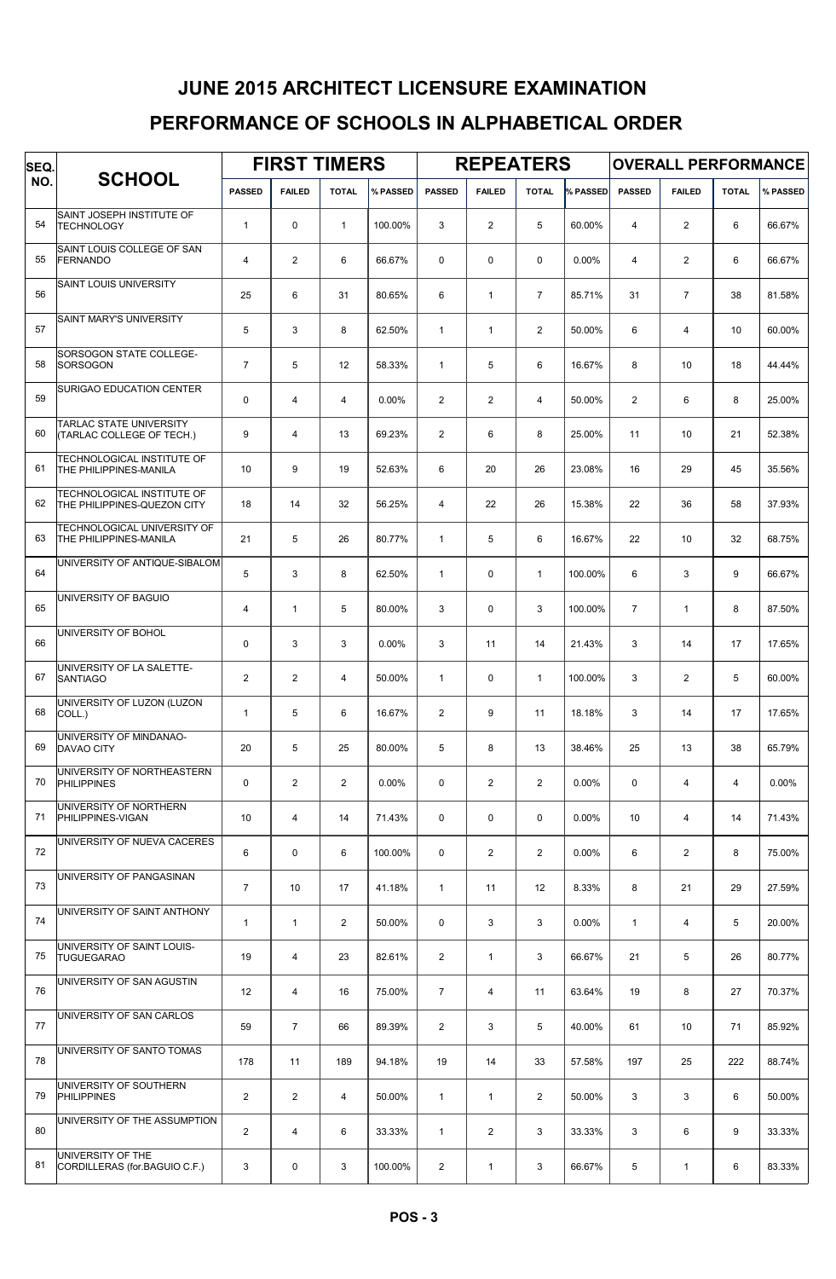# JUNE 2015 ARCHITECT LICENSURE EXAMINATION

### PERFORMANCE OF SCHOOLS IN ALPHABETICAL ORDER

| SEQ. |                                                             | <b>FIRST TIMERS</b> |                |                         |          |                | <b>REPEATERS</b> |                |          | <b>OVERALL PERFORMANCE</b> |                |              |          |  |
|------|-------------------------------------------------------------|---------------------|----------------|-------------------------|----------|----------------|------------------|----------------|----------|----------------------------|----------------|--------------|----------|--|
| NO.  | <b>SCHOOL</b>                                               | <b>PASSED</b>       | <b>FAILED</b>  | <b>TOTAL</b>            | % PASSED | <b>PASSED</b>  | <b>FAILED</b>    | <b>TOTAL</b>   | % PASSED | <b>PASSED</b>              | <b>FAILED</b>  | <b>TOTAL</b> | % PASSED |  |
| 54   | SAINT JOSEPH INSTITUTE OF<br><b>TECHNOLOGY</b>              | $\mathbf{1}$        | $\Omega$       | $\mathbf{1}$            | 100.00%  | 3              | $\overline{2}$   | 5              | 60.00%   | $\overline{4}$             | $\overline{2}$ | 6            | 66.67%   |  |
| 55   | SAINT LOUIS COLLEGE OF SAN<br>FERNANDO                      | $\overline{4}$      | $\overline{2}$ | 6                       | 66.67%   | $\mathbf 0$    | $\mathbf 0$      | $\mathbf 0$    | 0.00%    | 4                          | $\overline{2}$ | 6            | 66.67%   |  |
| 56   | <b>SAINT LOUIS UNIVERSITY</b>                               | 25                  | 6              | 31                      | 80.65%   | 6              | $\mathbf{1}$     | $\overline{7}$ | 85.71%   | 31                         | $\overline{7}$ | 38           | 81.58%   |  |
| 57   | <b>SAINT MARY'S UNIVERSITY</b>                              | 5                   | 3              | 8                       | 62.50%   | $\mathbf{1}$   | $\mathbf{1}$     | $\overline{2}$ | 50.00%   | 6                          | $\overline{4}$ | 10           | 60.00%   |  |
| 58   | SORSOGON STATE COLLEGE-<br>SORSOGON                         | $\overline{7}$      | 5              | 12                      | 58.33%   | 1              | 5                | 6              | 16.67%   | 8                          | 10             | 18           | 44.44%   |  |
| 59   | SURIGAO EDUCATION CENTER                                    | $\mathbf 0$         | 4              | $\overline{4}$          | 0.00%    | $\mathbf{2}$   | $\overline{2}$   | $\overline{4}$ | 50.00%   | $\overline{2}$             | 6              | 8            | 25.00%   |  |
| 60   | <b>TARLAC STATE UNIVERSITY</b><br>(TARLAC COLLEGE OF TECH.) | 9                   | $\overline{4}$ | 13                      | 69.23%   | $\overline{2}$ | 6                | 8              | 25.00%   | 11                         | 10             | 21           | 52.38%   |  |
| 61   | TECHNOLOGICAL INSTITUTE OF<br>THE PHILIPPINES-MANILA        | 10                  | 9              | 19                      | 52.63%   | 6              | 20               | 26             | 23.08%   | 16                         | 29             | 45           | 35.56%   |  |
| 62   | TECHNOLOGICAL INSTITUTE OF<br>THE PHILIPPINES-QUEZON CITY   | 18                  | 14             | 32                      | 56.25%   | $\overline{4}$ | 22               | 26             | 15.38%   | 22                         | 36             | 58           | 37.93%   |  |
| 63   | TECHNOLOGICAL UNIVERSITY OF<br>THE PHILIPPINES-MANILA       | 21                  | 5              | 26                      | 80.77%   | $\mathbf{1}$   | 5                | 6              | 16.67%   | 22                         | 10             | 32           | 68.75%   |  |
| 64   | UNIVERSITY OF ANTIQUE-SIBALOM                               | 5                   | 3              | 8                       | 62.50%   | $\mathbf{1}$   | $\mathbf 0$      | $\mathbf{1}$   | 100.00%  | 6                          | 3              | 9            | 66.67%   |  |
| 65   | UNIVERSITY OF BAGUIO                                        | $\overline{4}$      | $\mathbf{1}$   | 5                       | 80.00%   | 3              | $\mathbf 0$      | 3              | 100.00%  | $\overline{7}$             | $\mathbf{1}$   | 8            | 87.50%   |  |
| 66   | UNIVERSITY OF BOHOL                                         | $\mathbf 0$         | 3              | 3                       | 0.00%    | 3              | 11               | 14             | 21.43%   | 3                          | 14             | 17           | 17.65%   |  |
| 67   | UNIVERSITY OF LA SALETTE-<br><b>SANTIAGO</b>                | $\overline{2}$      | $\overline{2}$ | $\overline{4}$          | 50.00%   | $\mathbf{1}$   | $\mathbf 0$      | $\mathbf{1}$   | 100.00%  | 3                          | $\overline{2}$ | 5            | 60.00%   |  |
| 68   | UNIVERSITY OF LUZON (LUZON<br>COLL.)                        | $\mathbf{1}$        | 5              | 6                       | 16.67%   | $\mathbf{2}$   | 9                | 11             | 18.18%   | 3                          | 14             | 17           | 17.65%   |  |
| 69   | UNIVERSITY OF MINDANAO-<br><b>DAVAO CITY</b>                | 20                  | 5              | 25                      | 80.00%   | 5              | 8                | 13             | 38.46%   | 25                         | 13             | 38           | 65.79%   |  |
| 70   | UNIVERSITY OF NORTHEASTERN<br><b>PHILIPPINES</b>            | $\mathbf 0$         | $\overline{2}$ | $\overline{\mathbf{c}}$ | 0.00%    | 0              | $\overline{2}$   | $\overline{2}$ | 0.00%    | 0                          | 4              | 4            | 0.00%    |  |
| 71   | UNIVERSITY OF NORTHERN<br>PHILIPPINES-VIGAN                 | 10                  | 4              | 14                      | 71.43%   | 0              | $\mathsf 0$      | $\mathbf 0$    | 0.00%    | 10                         | 4              | 14           | 71.43%   |  |
| 72   | UNIVERSITY OF NUEVA CACERES                                 | 6                   | $\mathbf 0$    | 6                       | 100.00%  | 0              | $\overline{2}$   | $\overline{2}$ | 0.00%    | 6                          | $\mathbf{2}$   | 8            | 75.00%   |  |
| 73   | UNIVERSITY OF PANGASINAN                                    | $\overline{7}$      | 10             | 17                      | 41.18%   | $\mathbf{1}$   | 11               | 12             | 8.33%    | 8                          | 21             | 29           | 27.59%   |  |
| 74   | UNIVERSITY OF SAINT ANTHONY                                 | $\mathbf{1}$        | $\mathbf{1}$   | $\overline{2}$          | 50.00%   | $\mathbf 0$    | 3                | 3              | 0.00%    | $\mathbf{1}$               | $\overline{4}$ | 5            | 20.00%   |  |
| 75   | UNIVERSITY OF SAINT LOUIS-<br><b>TUGUEGARAO</b>             | 19                  | 4              | 23                      | 82.61%   | $\overline{2}$ | $\mathbf{1}$     | 3              | 66.67%   | 21                         | 5              | 26           | 80.77%   |  |
| 76   | UNIVERSITY OF SAN AGUSTIN                                   | 12                  | 4              | 16                      | 75.00%   | $\overline{7}$ | 4                | 11             | 63.64%   | 19                         | 8              | 27           | 70.37%   |  |
| 77   | UNIVERSITY OF SAN CARLOS                                    | 59                  | $\overline{7}$ | 66                      | 89.39%   | $\mathbf{2}$   | 3                | 5              | 40.00%   | 61                         | 10             | 71           | 85.92%   |  |
| 78   | UNIVERSITY OF SANTO TOMAS                                   | 178                 | 11             | 189                     | 94.18%   | 19             | 14               | 33             | 57.58%   | 197                        | 25             | 222          | 88.74%   |  |
| 79   | UNIVERSITY OF SOUTHERN<br><b>PHILIPPINES</b>                | $\overline{2}$      | $\overline{2}$ | 4                       | 50.00%   | $\mathbf{1}$   | $\mathbf{1}$     | $\overline{2}$ | 50.00%   | 3                          | 3              | 6            | 50.00%   |  |
| 80   | UNIVERSITY OF THE ASSUMPTION                                | $\overline{2}$      | 4              | 6                       | 33.33%   | $\mathbf{1}$   | $\overline{2}$   | 3              | 33.33%   | 3                          | 6              | 9            | 33.33%   |  |
| 81   | UNIVERSITY OF THE<br>CORDILLERAS (for.BAGUIO C.F.)          | 3                   | 0              | 3                       | 100.00%  | $\overline{2}$ | $\mathbf{1}$     | 3              | 66.67%   | 5                          | $\mathbf{1}$   | 6            | 83.33%   |  |